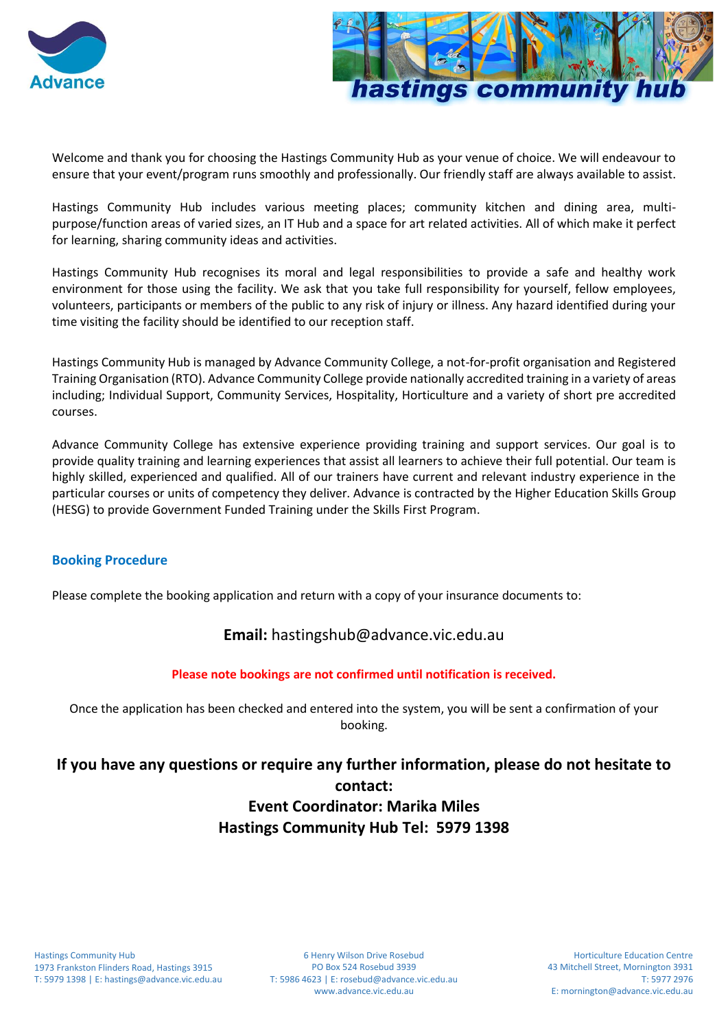



Welcome and thank you for choosing the Hastings Community Hub as your venue of choice. We will endeavour to ensure that your event/program runs smoothly and professionally. Our friendly staff are always available to assist.

Hastings Community Hub includes various meeting places; community kitchen and dining area, multipurpose/function areas of varied sizes, an IT Hub and a space for art related activities. All of which make it perfect for learning, sharing community ideas and activities.

Hastings Community Hub recognises its moral and legal responsibilities to provide a safe and healthy work environment for those using the facility. We ask that you take full responsibility for yourself, fellow employees, volunteers, participants or members of the public to any risk of injury or illness. Any hazard identified during your time visiting the facility should be identified to our reception staff.

Hastings Community Hub is managed by Advance Community College, a not-for-profit organisation and Registered Training Organisation (RTO). Advance Community College provide nationally accredited training in a variety of areas including; Individual Support, Community Services, Hospitality, Horticulture and a variety of short pre accredited courses.

Advance Community College has extensive experience providing training and support services. Our goal is to provide quality training and learning experiences that assist all learners to achieve their full potential. Our team is highly skilled, experienced and qualified. All of our trainers have current and relevant industry experience in the particular courses or units of competency they deliver. Advance is contracted by the Higher Education Skills Group (HESG) to provide Government Funded Training under the Skills First Program.

### **Booking Procedure**

Please complete the booking application and return with a copy of your insurance documents to:

## **Email:** hastingshub@advance.vic.edu.au

### **Please note bookings are not confirmed until notification is received.**

Once the application has been checked and entered into the system, you will be sent a confirmation of your booking.

# **If you have any questions or require any further information, please do not hesitate to contact: Event Coordinator: Marika Miles Hastings Community Hub Tel: 5979 1398**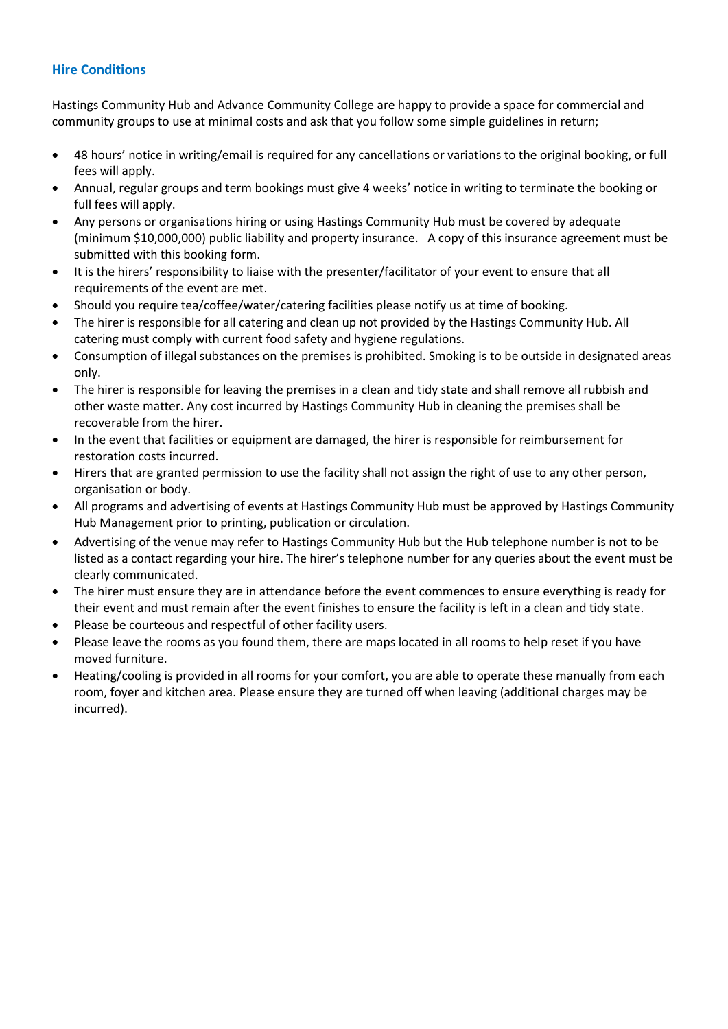### **Hire Conditions**

Hastings Community Hub and Advance Community College are happy to provide a space for commercial and community groups to use at minimal costs and ask that you follow some simple guidelines in return;

- 48 hours' notice in writing/email is required for any cancellations or variations to the original booking, or full fees will apply.
- Annual, regular groups and term bookings must give 4 weeks' notice in writing to terminate the booking or full fees will apply.
- Any persons or organisations hiring or using Hastings Community Hub must be covered by adequate (minimum \$10,000,000) public liability and property insurance. A copy of this insurance agreement must be submitted with this booking form.
- It is the hirers' responsibility to liaise with the presenter/facilitator of your event to ensure that all requirements of the event are met.
- Should you require tea/coffee/water/catering facilities please notify us at time of booking.
- The hirer is responsible for all catering and clean up not provided by the Hastings Community Hub. All catering must comply with current food safety and hygiene regulations.
- Consumption of illegal substances on the premises is prohibited. Smoking is to be outside in designated areas only.
- The hirer is responsible for leaving the premises in a clean and tidy state and shall remove all rubbish and other waste matter. Any cost incurred by Hastings Community Hub in cleaning the premises shall be recoverable from the hirer.
- In the event that facilities or equipment are damaged, the hirer is responsible for reimbursement for restoration costs incurred.
- Hirers that are granted permission to use the facility shall not assign the right of use to any other person, organisation or body.
- All programs and advertising of events at Hastings Community Hub must be approved by Hastings Community Hub Management prior to printing, publication or circulation.
- Advertising of the venue may refer to Hastings Community Hub but the Hub telephone number is not to be listed as a contact regarding your hire. The hirer's telephone number for any queries about the event must be clearly communicated.
- The hirer must ensure they are in attendance before the event commences to ensure everything is ready for their event and must remain after the event finishes to ensure the facility is left in a clean and tidy state.
- Please be courteous and respectful of other facility users.
- Please leave the rooms as you found them, there are maps located in all rooms to help reset if you have moved furniture.
- Heating/cooling is provided in all rooms for your comfort, you are able to operate these manually from each room, foyer and kitchen area. Please ensure they are turned off when leaving (additional charges may be incurred).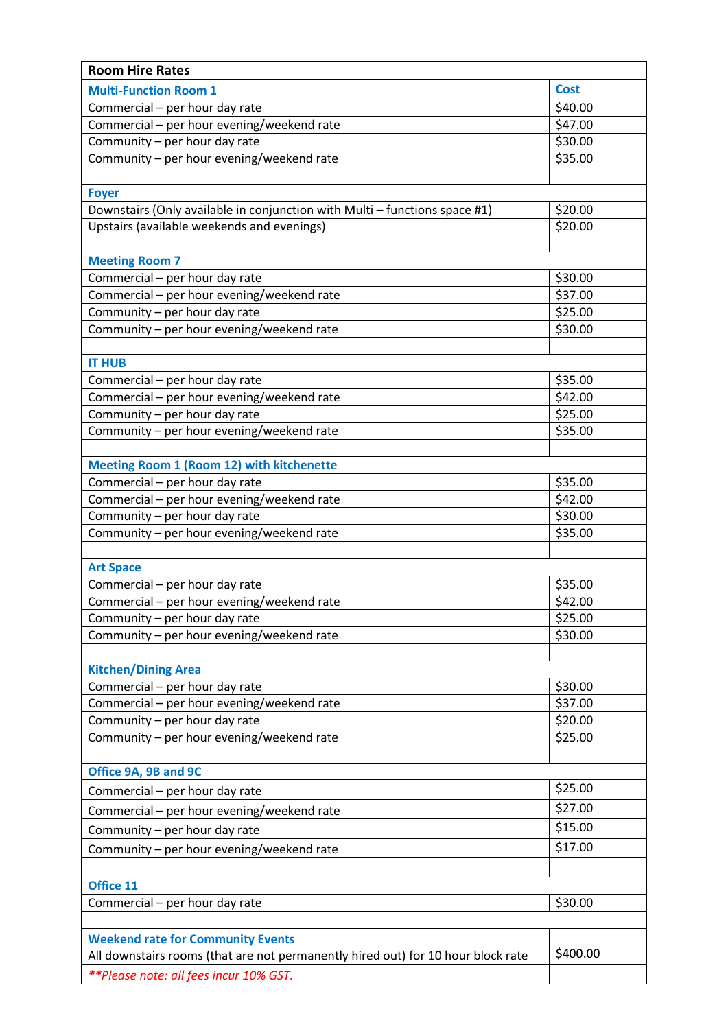| <b>Room Hire Rates</b>                                                           |             |
|----------------------------------------------------------------------------------|-------------|
| <b>Multi-Function Room 1</b>                                                     | <b>Cost</b> |
| Commercial - per hour day rate                                                   | \$40.00     |
| Commercial - per hour evening/weekend rate                                       | \$47.00     |
| Community - per hour day rate                                                    | \$30.00     |
| Community - per hour evening/weekend rate                                        | \$35.00     |
|                                                                                  |             |
| <b>Foyer</b>                                                                     |             |
| Downstairs (Only available in conjunction with Multi - functions space #1)       | \$20.00     |
| Upstairs (available weekends and evenings)                                       | \$20.00     |
|                                                                                  |             |
| <b>Meeting Room 7</b>                                                            |             |
| Commercial - per hour day rate                                                   | \$30.00     |
| Commercial - per hour evening/weekend rate                                       | \$37.00     |
| Community - per hour day rate                                                    | \$25.00     |
| Community - per hour evening/weekend rate                                        | \$30.00     |
| <b>IT HUB</b>                                                                    |             |
| Commercial - per hour day rate                                                   | \$35.00     |
| Commercial - per hour evening/weekend rate                                       | \$42.00     |
| Community - per hour day rate                                                    | \$25.00     |
| Community - per hour evening/weekend rate                                        | \$35.00     |
|                                                                                  |             |
| <b>Meeting Room 1 (Room 12) with kitchenette</b>                                 |             |
| Commercial - per hour day rate                                                   | \$35.00     |
| Commercial - per hour evening/weekend rate                                       | \$42.00     |
| Community - per hour day rate                                                    | \$30.00     |
| Community - per hour evening/weekend rate                                        | \$35.00     |
|                                                                                  |             |
| <b>Art Space</b>                                                                 |             |
| Commercial - per hour day rate                                                   | \$35.00     |
| Commercial - per hour evening/weekend rate                                       | \$42.00     |
| Community - per hour day rate                                                    | \$25.00     |
| Community - per hour evening/weekend rate                                        | \$30.00     |
|                                                                                  |             |
| <b>Kitchen/Dining Area</b><br>Commercial - per hour day rate                     | \$30.00     |
| Commercial - per hour evening/weekend rate                                       | \$37.00     |
| Community - per hour day rate                                                    | \$20.00     |
| Community - per hour evening/weekend rate                                        | \$25.00     |
|                                                                                  |             |
| Office 9A, 9B and 9C                                                             |             |
| Commercial - per hour day rate                                                   | \$25.00     |
| Commercial - per hour evening/weekend rate                                       | \$27.00     |
| Community - per hour day rate                                                    | \$15.00     |
|                                                                                  | \$17.00     |
| Community - per hour evening/weekend rate                                        |             |
| Office 11                                                                        |             |
| Commercial - per hour day rate                                                   | \$30.00     |
|                                                                                  |             |
| <b>Weekend rate for Community Events</b>                                         |             |
| All downstairs rooms (that are not permanently hired out) for 10 hour block rate | \$400.00    |
| <i>**Please note: all fees incur 10% GST.</i>                                    |             |
|                                                                                  |             |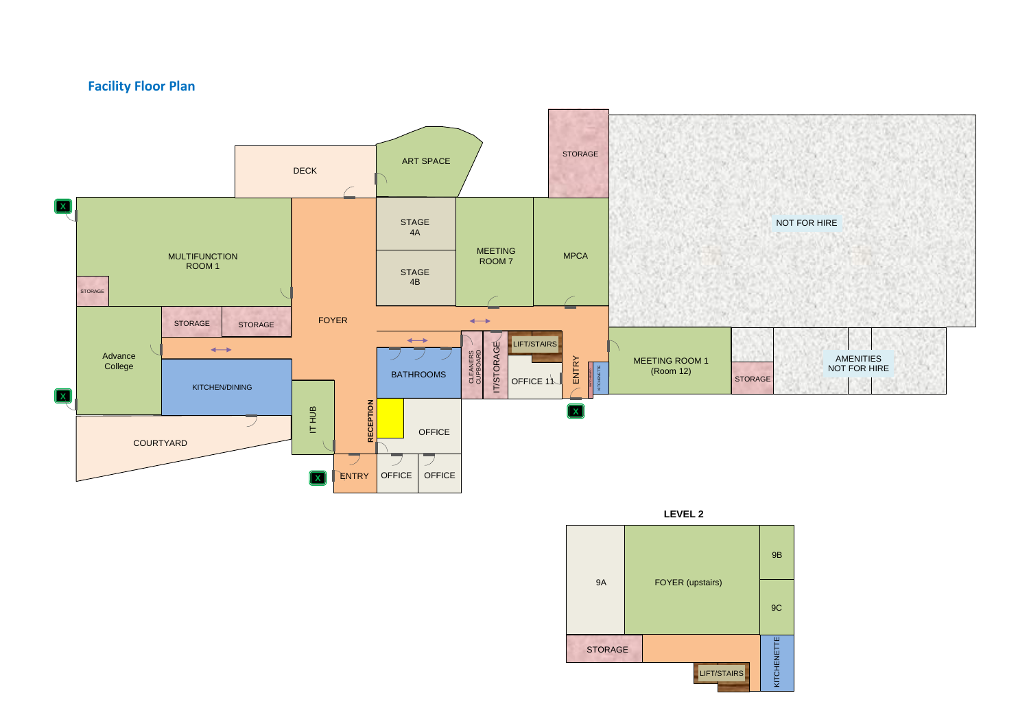### **Facility Floor Plan**



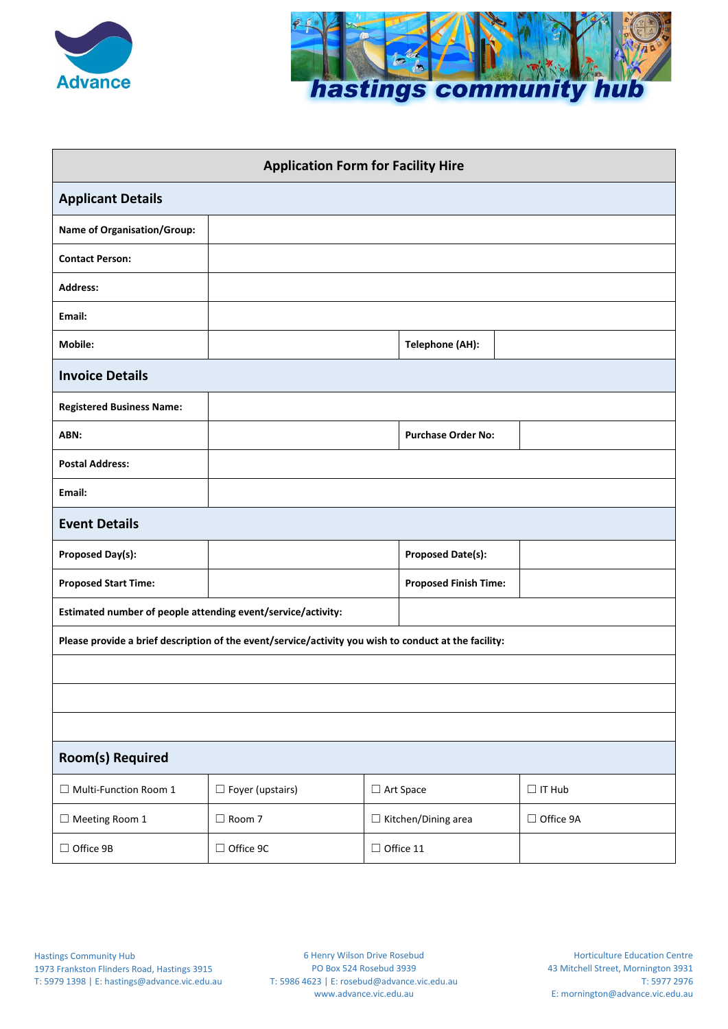



| <b>Application Form for Facility Hire</b>                                                             |                         |                  |                              |               |  |  |
|-------------------------------------------------------------------------------------------------------|-------------------------|------------------|------------------------------|---------------|--|--|
| <b>Applicant Details</b>                                                                              |                         |                  |                              |               |  |  |
| <b>Name of Organisation/Group:</b>                                                                    |                         |                  |                              |               |  |  |
| <b>Contact Person:</b>                                                                                |                         |                  |                              |               |  |  |
| <b>Address:</b>                                                                                       |                         |                  |                              |               |  |  |
| Email:                                                                                                |                         |                  |                              |               |  |  |
| Mobile:                                                                                               |                         |                  | <b>Telephone (AH):</b>       |               |  |  |
| <b>Invoice Details</b>                                                                                |                         |                  |                              |               |  |  |
| <b>Registered Business Name:</b>                                                                      |                         |                  |                              |               |  |  |
| ABN:                                                                                                  |                         |                  | <b>Purchase Order No:</b>    |               |  |  |
| <b>Postal Address:</b>                                                                                |                         |                  |                              |               |  |  |
| Email:                                                                                                |                         |                  |                              |               |  |  |
| <b>Event Details</b>                                                                                  |                         |                  |                              |               |  |  |
| <b>Proposed Day(s):</b>                                                                               |                         |                  | <b>Proposed Date(s):</b>     |               |  |  |
| <b>Proposed Start Time:</b>                                                                           |                         |                  | <b>Proposed Finish Time:</b> |               |  |  |
| Estimated number of people attending event/service/activity:                                          |                         |                  |                              |               |  |  |
| Please provide a brief description of the event/service/activity you wish to conduct at the facility: |                         |                  |                              |               |  |  |
|                                                                                                       |                         |                  |                              |               |  |  |
|                                                                                                       |                         |                  |                              |               |  |  |
|                                                                                                       |                         |                  |                              |               |  |  |
| <b>Room(s) Required</b>                                                                               |                         |                  |                              |               |  |  |
| $\Box$ Multi-Function Room 1                                                                          | $\Box$ Foyer (upstairs) |                  | □ Art Space                  | $\Box$ IT Hub |  |  |
| $\Box$ Meeting Room 1                                                                                 | □ Room 7                |                  | $\Box$ Kitchen/Dining area   | □ Office 9A   |  |  |
| □ Office 9B                                                                                           | □ Office 9C             | $\Box$ Office 11 |                              |               |  |  |

6 Henry Wilson Drive Rosebud PO Box 524 Rosebud 3939 T: 5986 4623 | E: rosebud@advance.vic.edu.au www.advance.vic.edu.au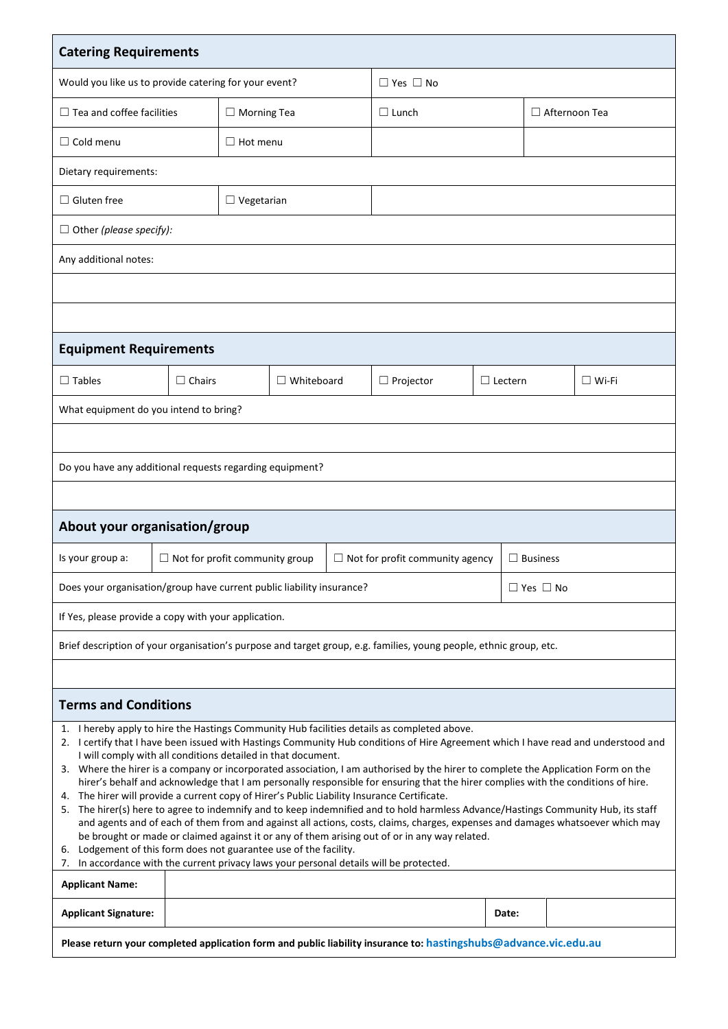| <b>Catering Requirements</b>                                                                                                                                                                                                                                                                                                                                                                                                                                                                                                                                                                                                                                                                                                                                                                                                                                                                                                                                                                                                                                                                                                                                                                                                                       |                                                                                                    |                    |                      |  |                  |                |  |                      |  |
|----------------------------------------------------------------------------------------------------------------------------------------------------------------------------------------------------------------------------------------------------------------------------------------------------------------------------------------------------------------------------------------------------------------------------------------------------------------------------------------------------------------------------------------------------------------------------------------------------------------------------------------------------------------------------------------------------------------------------------------------------------------------------------------------------------------------------------------------------------------------------------------------------------------------------------------------------------------------------------------------------------------------------------------------------------------------------------------------------------------------------------------------------------------------------------------------------------------------------------------------------|----------------------------------------------------------------------------------------------------|--------------------|----------------------|--|------------------|----------------|--|----------------------|--|
| Would you like us to provide catering for your event?                                                                                                                                                                                                                                                                                                                                                                                                                                                                                                                                                                                                                                                                                                                                                                                                                                                                                                                                                                                                                                                                                                                                                                                              |                                                                                                    |                    | $\Box$ Yes $\Box$ No |  |                  |                |  |                      |  |
| $\Box$ Tea and coffee facilities                                                                                                                                                                                                                                                                                                                                                                                                                                                                                                                                                                                                                                                                                                                                                                                                                                                                                                                                                                                                                                                                                                                                                                                                                   |                                                                                                    | $\Box$ Morning Tea |                      |  | $\Box$ Lunch     |                |  | $\Box$ Afternoon Tea |  |
| $\Box$ Cold menu                                                                                                                                                                                                                                                                                                                                                                                                                                                                                                                                                                                                                                                                                                                                                                                                                                                                                                                                                                                                                                                                                                                                                                                                                                   |                                                                                                    | $\Box$ Hot menu    |                      |  |                  |                |  |                      |  |
| Dietary requirements:                                                                                                                                                                                                                                                                                                                                                                                                                                                                                                                                                                                                                                                                                                                                                                                                                                                                                                                                                                                                                                                                                                                                                                                                                              |                                                                                                    |                    |                      |  |                  |                |  |                      |  |
| $\Box$ Gluten free                                                                                                                                                                                                                                                                                                                                                                                                                                                                                                                                                                                                                                                                                                                                                                                                                                                                                                                                                                                                                                                                                                                                                                                                                                 |                                                                                                    | $\Box$ Vegetarian  |                      |  |                  |                |  |                      |  |
| $\Box$ Other (please specify):                                                                                                                                                                                                                                                                                                                                                                                                                                                                                                                                                                                                                                                                                                                                                                                                                                                                                                                                                                                                                                                                                                                                                                                                                     |                                                                                                    |                    |                      |  |                  |                |  |                      |  |
| Any additional notes:                                                                                                                                                                                                                                                                                                                                                                                                                                                                                                                                                                                                                                                                                                                                                                                                                                                                                                                                                                                                                                                                                                                                                                                                                              |                                                                                                    |                    |                      |  |                  |                |  |                      |  |
|                                                                                                                                                                                                                                                                                                                                                                                                                                                                                                                                                                                                                                                                                                                                                                                                                                                                                                                                                                                                                                                                                                                                                                                                                                                    |                                                                                                    |                    |                      |  |                  |                |  |                      |  |
|                                                                                                                                                                                                                                                                                                                                                                                                                                                                                                                                                                                                                                                                                                                                                                                                                                                                                                                                                                                                                                                                                                                                                                                                                                                    |                                                                                                    |                    |                      |  |                  |                |  |                      |  |
| <b>Equipment Requirements</b>                                                                                                                                                                                                                                                                                                                                                                                                                                                                                                                                                                                                                                                                                                                                                                                                                                                                                                                                                                                                                                                                                                                                                                                                                      |                                                                                                    |                    |                      |  |                  |                |  |                      |  |
| $\Box$ Tables                                                                                                                                                                                                                                                                                                                                                                                                                                                                                                                                                                                                                                                                                                                                                                                                                                                                                                                                                                                                                                                                                                                                                                                                                                      | $\Box$ Chairs                                                                                      |                    | $\Box$ Whiteboard    |  | $\Box$ Projector | $\Box$ Lectern |  | $\square$ Wi-Fi      |  |
| What equipment do you intend to bring?                                                                                                                                                                                                                                                                                                                                                                                                                                                                                                                                                                                                                                                                                                                                                                                                                                                                                                                                                                                                                                                                                                                                                                                                             |                                                                                                    |                    |                      |  |                  |                |  |                      |  |
|                                                                                                                                                                                                                                                                                                                                                                                                                                                                                                                                                                                                                                                                                                                                                                                                                                                                                                                                                                                                                                                                                                                                                                                                                                                    |                                                                                                    |                    |                      |  |                  |                |  |                      |  |
| Do you have any additional requests regarding equipment?                                                                                                                                                                                                                                                                                                                                                                                                                                                                                                                                                                                                                                                                                                                                                                                                                                                                                                                                                                                                                                                                                                                                                                                           |                                                                                                    |                    |                      |  |                  |                |  |                      |  |
|                                                                                                                                                                                                                                                                                                                                                                                                                                                                                                                                                                                                                                                                                                                                                                                                                                                                                                                                                                                                                                                                                                                                                                                                                                                    |                                                                                                    |                    |                      |  |                  |                |  |                      |  |
| About your organisation/group                                                                                                                                                                                                                                                                                                                                                                                                                                                                                                                                                                                                                                                                                                                                                                                                                                                                                                                                                                                                                                                                                                                                                                                                                      |                                                                                                    |                    |                      |  |                  |                |  |                      |  |
| Is your group a:                                                                                                                                                                                                                                                                                                                                                                                                                                                                                                                                                                                                                                                                                                                                                                                                                                                                                                                                                                                                                                                                                                                                                                                                                                   | $\Box$ Not for profit community group<br>$\Box$ Not for profit community agency<br>$\Box$ Business |                    |                      |  |                  |                |  |                      |  |
| Does your organisation/group have current public liability insurance?<br>$\Box$ Yes $\Box$ No                                                                                                                                                                                                                                                                                                                                                                                                                                                                                                                                                                                                                                                                                                                                                                                                                                                                                                                                                                                                                                                                                                                                                      |                                                                                                    |                    |                      |  |                  |                |  |                      |  |
| If Yes, please provide a copy with your application.                                                                                                                                                                                                                                                                                                                                                                                                                                                                                                                                                                                                                                                                                                                                                                                                                                                                                                                                                                                                                                                                                                                                                                                               |                                                                                                    |                    |                      |  |                  |                |  |                      |  |
| Brief description of your organisation's purpose and target group, e.g. families, young people, ethnic group, etc.                                                                                                                                                                                                                                                                                                                                                                                                                                                                                                                                                                                                                                                                                                                                                                                                                                                                                                                                                                                                                                                                                                                                 |                                                                                                    |                    |                      |  |                  |                |  |                      |  |
|                                                                                                                                                                                                                                                                                                                                                                                                                                                                                                                                                                                                                                                                                                                                                                                                                                                                                                                                                                                                                                                                                                                                                                                                                                                    |                                                                                                    |                    |                      |  |                  |                |  |                      |  |
| <b>Terms and Conditions</b>                                                                                                                                                                                                                                                                                                                                                                                                                                                                                                                                                                                                                                                                                                                                                                                                                                                                                                                                                                                                                                                                                                                                                                                                                        |                                                                                                    |                    |                      |  |                  |                |  |                      |  |
| 1. I hereby apply to hire the Hastings Community Hub facilities details as completed above.<br>2. I certify that I have been issued with Hastings Community Hub conditions of Hire Agreement which I have read and understood and<br>I will comply with all conditions detailed in that document.<br>3. Where the hirer is a company or incorporated association, I am authorised by the hirer to complete the Application Form on the<br>hirer's behalf and acknowledge that I am personally responsible for ensuring that the hirer complies with the conditions of hire.<br>The hirer will provide a current copy of Hirer's Public Liability Insurance Certificate.<br>4.<br>5. The hirer(s) here to agree to indemnify and to keep indemnified and to hold harmless Advance/Hastings Community Hub, its staff<br>and agents and of each of them from and against all actions, costs, claims, charges, expenses and damages whatsoever which may<br>be brought or made or claimed against it or any of them arising out of or in any way related.<br>Lodgement of this form does not guarantee use of the facility.<br>6.<br>7. In accordance with the current privacy laws your personal details will be protected.<br><b>Applicant Name:</b> |                                                                                                    |                    |                      |  |                  |                |  |                      |  |
| <b>Applicant Signature:</b>                                                                                                                                                                                                                                                                                                                                                                                                                                                                                                                                                                                                                                                                                                                                                                                                                                                                                                                                                                                                                                                                                                                                                                                                                        |                                                                                                    |                    |                      |  |                  | Date:          |  |                      |  |
| Please return your completed application form and public liability insurance to: hastingshubs@advance.vic.edu.au                                                                                                                                                                                                                                                                                                                                                                                                                                                                                                                                                                                                                                                                                                                                                                                                                                                                                                                                                                                                                                                                                                                                   |                                                                                                    |                    |                      |  |                  |                |  |                      |  |